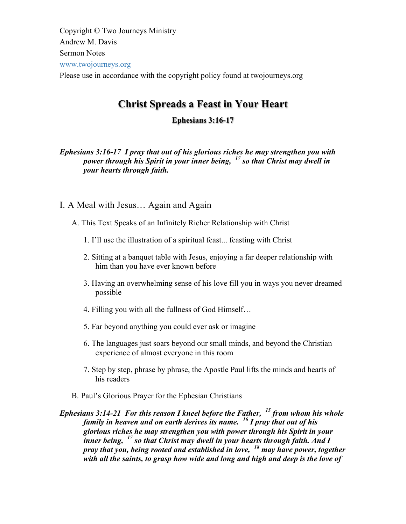Copyright © Two Journeys Ministry Andrew M. Davis Sermon Notes www.twojourneys.org Please use in accordance with the copyright policy found at twojourneys.org

# **Christ Spreads a Feast in Your Heart**

## **Ephesians 3:16-17**

*Ephesians 3:16-17 I pray that out of his glorious riches he may strengthen you with power through his Spirit in your inner being, <sup>17</sup> so that Christ may dwell in your hearts through faith.*

- I. A Meal with Jesus… Again and Again
	- A. This Text Speaks of an Infinitely Richer Relationship with Christ
		- 1. I'll use the illustration of a spiritual feast... feasting with Christ
		- 2. Sitting at a banquet table with Jesus, enjoying a far deeper relationship with him than you have ever known before
		- 3. Having an overwhelming sense of his love fill you in ways you never dreamed possible
		- 4. Filling you with all the fullness of God Himself…
		- 5. Far beyond anything you could ever ask or imagine
		- 6. The languages just soars beyond our small minds, and beyond the Christian experience of almost everyone in this room
		- 7. Step by step, phrase by phrase, the Apostle Paul lifts the minds and hearts of his readers
	- B. Paul's Glorious Prayer for the Ephesian Christians

*Ephesians 3:14-21 For this reason I kneel before the Father, <sup>15</sup> from whom his whole family in heaven and on earth derives its name. <sup>16</sup> I pray that out of his glorious riches he may strengthen you with power through his Spirit in your inner being, <sup>17</sup> so that Christ may dwell in your hearts through faith. And I pray that you, being rooted and established in love, <sup>18</sup> may have power, together with all the saints, to grasp how wide and long and high and deep is the love of*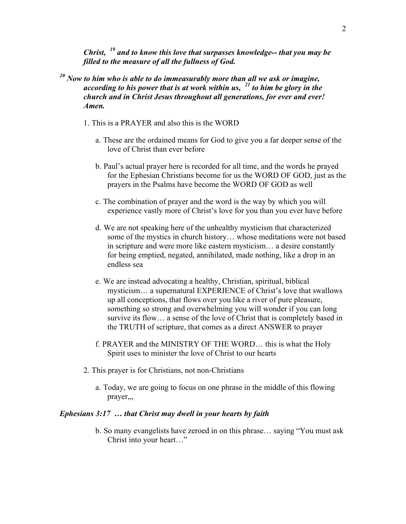*Christ, <sup>19</sup> and to know this love that surpasses knowledge-- that you may be filled to the measure of all the fullness of God.* 

- *<sup>20</sup> Now to him who is able to do immeasurably more than all we ask or imagine, according to his power that is at work within us, <sup>21</sup> to him be glory in the church and in Christ Jesus throughout all generations, for ever and ever! Amen.*
	- 1. This is a PRAYER and also this is the WORD
		- a. These are the ordained means for God to give you a far deeper sense of the love of Christ than ever before
		- b. Paul's actual prayer here is recorded for all time, and the words he prayed for the Ephesian Christians become for us the WORD OF GOD, just as the prayers in the Psalms have become the WORD OF GOD as well
		- c. The combination of prayer and the word is the way by which you will experience vastly more of Christ's love for you than you ever have before
		- d. We are not speaking here of the unhealthy mysticism that characterized some of the mystics in church history… whose meditations were not based in scripture and were more like eastern mysticism… a desire constantly for being emptied, negated, annihilated, made nothing, like a drop in an endless sea
		- e. We are instead advocating a healthy, Christian, spiritual, biblical mysticism… a supernatural EXPERIENCE of Christ's love that swallows up all conceptions, that flows over you like a river of pure pleasure, something so strong and overwhelming you will wonder if you can long survive its flow… a sense of the love of Christ that is completely based in the TRUTH of scripture, that comes as a direct ANSWER to prayer
		- f. PRAYER and the MINISTRY OF THE WORD… this is what the Holy Spirit uses to minister the love of Christ to our hearts
	- 2. This prayer is for Christians, not non-Christians
		- a. Today, we are going to focus on one phrase in the middle of this flowing prayer,,,

#### *Ephesians 3:17 … that Christ may dwell in your hearts by faith*

b. So many evangelists have zeroed in on this phrase… saying "You must ask Christ into your heart…"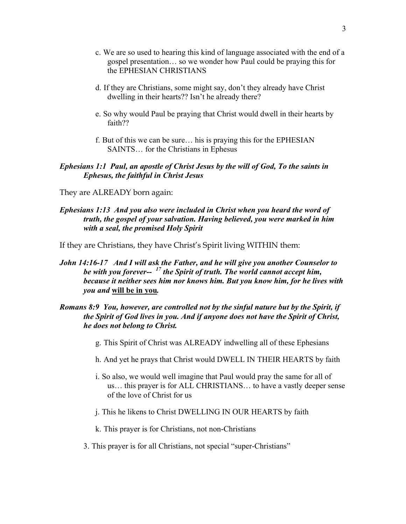- c. We are so used to hearing this kind of language associated with the end of a gospel presentation… so we wonder how Paul could be praying this for the EPHESIAN CHRISTIANS
- d. If they are Christians, some might say, don't they already have Christ dwelling in their hearts?? Isn't he already there?
- e. So why would Paul be praying that Christ would dwell in their hearts by faith??
- f. But of this we can be sure… his is praying this for the EPHESIAN SAINTS… for the Christians in Ephesus

#### *Ephesians 1:1 Paul, an apostle of Christ Jesus by the will of God, To the saints in Ephesus, the faithful in Christ Jesus*

- They are ALREADY born again:
- *Ephesians 1:13 And you also were included in Christ when you heard the word of truth, the gospel of your salvation. Having believed, you were marked in him with a seal, the promised Holy Spirit*
- If they are Christians, they have Christ's Spirit living WITHIN them:
- *John 14:16-17 And I will ask the Father, and he will give you another Counselor to be with you forever-- <sup>17</sup> the Spirit of truth. The world cannot accept him, because it neither sees him nor knows him. But you know him, for he lives with you and* **will be in you***.*

## *Romans 8:9 You, however, are controlled not by the sinful nature but by the Spirit, if the Spirit of God lives in you. And if anyone does not have the Spirit of Christ, he does not belong to Christ.*

- g. This Spirit of Christ was ALREADY indwelling all of these Ephesians
- h. And yet he prays that Christ would DWELL IN THEIR HEARTS by faith
- i. So also, we would well imagine that Paul would pray the same for all of us… this prayer is for ALL CHRISTIANS… to have a vastly deeper sense of the love of Christ for us
- j. This he likens to Christ DWELLING IN OUR HEARTS by faith
- k. This prayer is for Christians, not non-Christians
- 3. This prayer is for all Christians, not special "super-Christians"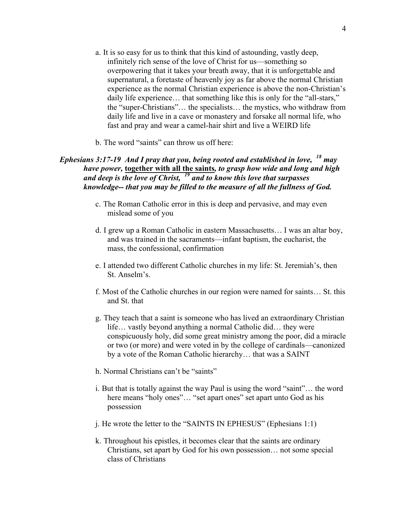- a. It is so easy for us to think that this kind of astounding, vastly deep, infinitely rich sense of the love of Christ for us—something so overpowering that it takes your breath away, that it is unforgettable and supernatural, a foretaste of heavenly joy as far above the normal Christian experience as the normal Christian experience is above the non-Christian's daily life experience… that something like this is only for the "all-stars," the "super-Christians"… the specialists… the mystics, who withdraw from daily life and live in a cave or monastery and forsake all normal life, who fast and pray and wear a camel-hair shirt and live a WEIRD life
- b. The word "saints" can throw us off here:

## *Ephesians 3:17-19 And I pray that you, being rooted and established in love, <sup>18</sup> may have power,* **together with all the saints***, to grasp how wide and long and high and deep is the love of Christ, <sup>19</sup> and to know this love that surpasses knowledge-- that you may be filled to the measure of all the fullness of God.*

- c. The Roman Catholic error in this is deep and pervasive, and may even mislead some of you
- d. I grew up a Roman Catholic in eastern Massachusetts… I was an altar boy, and was trained in the sacraments—infant baptism, the eucharist, the mass, the confessional, confirmation
- e. I attended two different Catholic churches in my life: St. Jeremiah's, then St. Anselm's.
- f. Most of the Catholic churches in our region were named for saints… St. this and St. that
- g. They teach that a saint is someone who has lived an extraordinary Christian life… vastly beyond anything a normal Catholic did… they were conspicuously holy, did some great ministry among the poor, did a miracle or two (or more) and were voted in by the college of cardinals—canonized by a vote of the Roman Catholic hierarchy… that was a SAINT
- h. Normal Christians can't be "saints"
- i. But that is totally against the way Paul is using the word "saint"… the word here means "holy ones"... "set apart ones" set apart unto God as his possession
- j. He wrote the letter to the "SAINTS IN EPHESUS" (Ephesians 1:1)
- k. Throughout his epistles, it becomes clear that the saints are ordinary Christians, set apart by God for his own possession… not some special class of Christians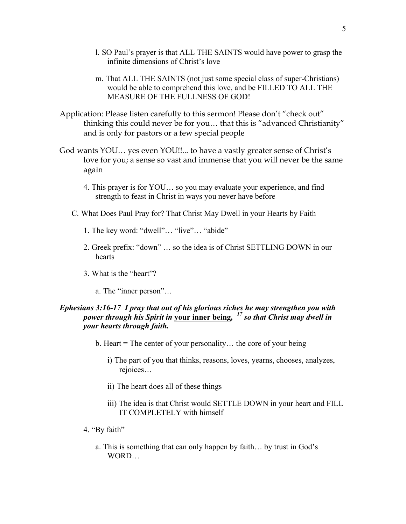- l. SO Paul's prayer is that ALL THE SAINTS would have power to grasp the infinite dimensions of Christ's love
- m. That ALL THE SAINTS (not just some special class of super-Christians) would be able to comprehend this love, and be FILLED TO ALL THE MEASURE OF THE FULLNESS OF GOD!
- Application: Please listen carefully to this sermon! Please don't "check out" thinking this could never be for you… that this is "advanced Christianity" and is only for pastors or a few special people
- God wants YOU… yes even YOU!!... to have a vastly greater sense of Christ's love for you; a sense so vast and immense that you will never be the same again
	- 4. This prayer is for YOU… so you may evaluate your experience, and find strength to feast in Christ in ways you never have before
	- C. What Does Paul Pray for? That Christ May Dwell in your Hearts by Faith
		- 1. The key word: "dwell"… "live"… "abide"
		- 2. Greek prefix: "down" … so the idea is of Christ SETTLING DOWN in our hearts
		- 3. What is the "heart"?
			- a. The "inner person"…

#### *Ephesians 3:16-17 I pray that out of his glorious riches he may strengthen you with power through his Spirit in* **your inner being***, <sup>17</sup> so that Christ may dwell in your hearts through faith.*

- b. Heart = The center of your personality… the core of your being
	- i) The part of you that thinks, reasons, loves, yearns, chooses, analyzes, rejoices…
	- ii) The heart does all of these things
	- iii) The idea is that Christ would SETTLE DOWN in your heart and FILL IT COMPLETELY with himself
- 4. "By faith"
	- a. This is something that can only happen by faith… by trust in God's WORD…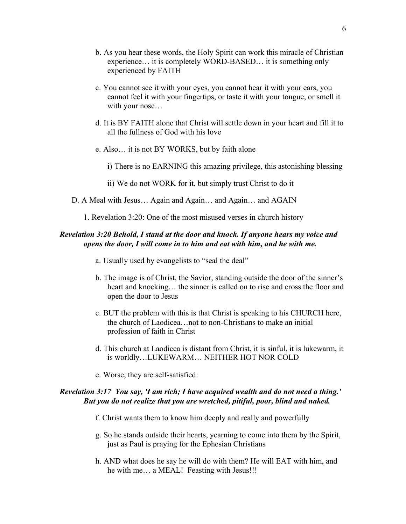- b. As you hear these words, the Holy Spirit can work this miracle of Christian experience… it is completely WORD-BASED… it is something only experienced by FAITH
- c. You cannot see it with your eyes, you cannot hear it with your ears, you cannot feel it with your fingertips, or taste it with your tongue, or smell it with your nose…
- d. It is BY FAITH alone that Christ will settle down in your heart and fill it to all the fullness of God with his love
- e. Also… it is not BY WORKS, but by faith alone
	- i) There is no EARNING this amazing privilege, this astonishing blessing
	- ii) We do not WORK for it, but simply trust Christ to do it
- D. A Meal with Jesus… Again and Again… and Again… and AGAIN

1. Revelation 3:20: One of the most misused verses in church history

#### *Revelation 3:20 Behold, I stand at the door and knock. If anyone hears my voice and opens the door, I will come in to him and eat with him, and he with me.*

- a. Usually used by evangelists to "seal the deal"
- b. The image is of Christ, the Savior, standing outside the door of the sinner's heart and knocking... the sinner is called on to rise and cross the floor and open the door to Jesus
- c. BUT the problem with this is that Christ is speaking to his CHURCH here, the church of Laodicea…not to non-Christians to make an initial profession of faith in Christ
- d. This church at Laodicea is distant from Christ, it is sinful, it is lukewarm, it is worldly…LUKEWARM… NEITHER HOT NOR COLD
- e. Worse, they are self-satisfied:

#### *Revelation 3:17 You say, 'I am rich; I have acquired wealth and do not need a thing.' But you do not realize that you are wretched, pitiful, poor, blind and naked.*

- f. Christ wants them to know him deeply and really and powerfully
- g. So he stands outside their hearts, yearning to come into them by the Spirit, just as Paul is praying for the Ephesian Christians
- h. AND what does he say he will do with them? He will EAT with him, and he with me... a MEAL! Feasting with Jesus!!!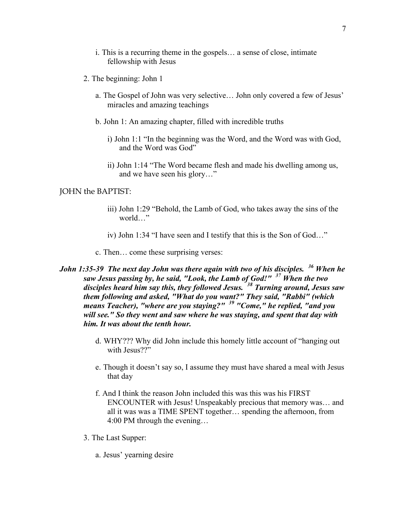- i. This is a recurring theme in the gospels… a sense of close, intimate fellowship with Jesus
- 2. The beginning: John 1
	- a. The Gospel of John was very selective… John only covered a few of Jesus' miracles and amazing teachings
	- b. John 1: An amazing chapter, filled with incredible truths
		- i) John 1:1 "In the beginning was the Word, and the Word was with God, and the Word was God"
		- ii) John 1:14 "The Word became flesh and made his dwelling among us, and we have seen his glory…"

#### JOHN the BAPTIST:

- iii) John 1:29 "Behold, the Lamb of God, who takes away the sins of the world…"
- iv) John 1:34 "I have seen and I testify that this is the Son of God…"
- c. Then… come these surprising verses:
- *John 1:35-39 The next day John was there again with two of his disciples. <sup>36</sup> When he saw Jesus passing by, he said, "Look, the Lamb of God!" <sup>37</sup> When the two disciples heard him say this, they followed Jesus. <sup>38</sup> Turning around, Jesus saw them following and asked, "What do you want?" They said, "Rabbi" (which means Teacher), "where are you staying?" <sup>39</sup> "Come," he replied, "and you will see." So they went and saw where he was staying, and spent that day with him. It was about the tenth hour.*
	- d. WHY??? Why did John include this homely little account of "hanging out with Jesus??"
	- e. Though it doesn't say so, I assume they must have shared a meal with Jesus that day
	- f. And I think the reason John included this was this was his FIRST ENCOUNTER with Jesus! Unspeakably precious that memory was… and all it was was a TIME SPENT together… spending the afternoon, from 4:00 PM through the evening…
	- 3. The Last Supper:
		- a. Jesus' yearning desire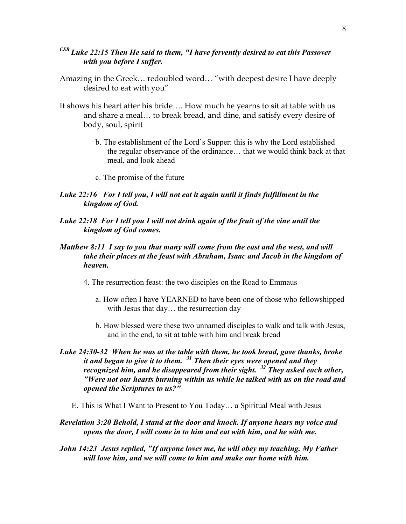## *CSB Luke 22:15 Then He said to them, "I have fervently desired to eat this Passover with you before I suffer.*

- Amazing in the Greek… redoubled word… "with deepest desire I have deeply desired to eat with you"
- It shows his heart after his bride…. How much he yearns to sit at table with us and share a meal… to break bread, and dine, and satisfy every desire of body, soul, spirit
	- b. The establishment of the Lord's Supper: this is why the Lord established the regular observance of the ordinance… that we would think back at that meal, and look ahead
	- c. The promise of the future

## *Luke 22:16 For I tell you, I will not eat it again until it finds fulfillment in the kingdom of God.*

*Luke 22:18 For I tell you I will not drink again of the fruit of the vine until the kingdom of God comes.*

## *Matthew 8:11 I say to you that many will come from the east and the west, and will take their places at the feast with Abraham, Isaac and Jacob in the kingdom of heaven.*

- 4. The resurrection feast: the two disciples on the Road to Emmaus
	- a. How often I have YEARNED to have been one of those who fellowshipped with Jesus that day... the resurrection day
	- b. How blessed were these two unnamed disciples to walk and talk with Jesus, and in the end, to sit at table with him and break bread
- *Luke 24:30-32 When he was at the table with them, he took bread, gave thanks, broke it and began to give it to them. <sup>31</sup> Then their eyes were opened and they recognized him, and he disappeared from their sight. <sup>32</sup> They asked each other, "Were not our hearts burning within us while he talked with us on the road and opened the Scriptures to us?"*
	- E. This is What I Want to Present to You Today… a Spiritual Meal with Jesus
- *Revelation 3:20 Behold, I stand at the door and knock. If anyone hears my voice and opens the door, I will come in to him and eat with him, and he with me.*
- *John 14:23 Jesus replied, "If anyone loves me, he will obey my teaching. My Father will love him, and we will come to him and make our home with him.*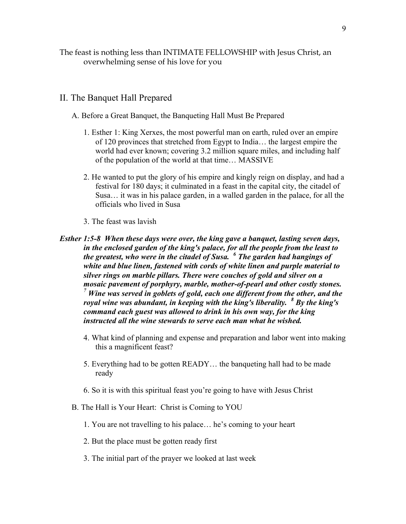The feast is nothing less than INTIMATE FELLOWSHIP with Jesus Christ, an overwhelming sense of his love for you

#### II. The Banquet Hall Prepared

- A. Before a Great Banquet, the Banqueting Hall Must Be Prepared
	- 1. Esther 1: King Xerxes, the most powerful man on earth, ruled over an empire of 120 provinces that stretched from Egypt to India… the largest empire the world had ever known; covering 3.2 million square miles, and including half of the population of the world at that time… MASSIVE
	- 2. He wanted to put the glory of his empire and kingly reign on display, and had a festival for 180 days; it culminated in a feast in the capital city, the citadel of Susa… it was in his palace garden, in a walled garden in the palace, for all the officials who lived in Susa
	- 3. The feast was lavish
- *Esther 1:5-8 When these days were over, the king gave a banquet, lasting seven days, in the enclosed garden of the king's palace, for all the people from the least to the greatest, who were in the citadel of Susa. <sup>6</sup> The garden had hangings of white and blue linen, fastened with cords of white linen and purple material to silver rings on marble pillars. There were couches of gold and silver on a mosaic pavement of porphyry, marble, mother-of-pearl and other costly stones. <sup>7</sup> Wine was served in goblets of gold, each one different from the other, and the royal wine was abundant, in keeping with the king's liberality. <sup>8</sup> By the king's command each guest was allowed to drink in his own way, for the king instructed all the wine stewards to serve each man what he wished.*
	- 4. What kind of planning and expense and preparation and labor went into making this a magnificent feast?
	- 5. Everything had to be gotten READY… the banqueting hall had to be made ready
	- 6. So it is with this spiritual feast you're going to have with Jesus Christ
	- B. The Hall is Your Heart: Christ is Coming to YOU
		- 1. You are not travelling to his palace… he's coming to your heart
		- 2. But the place must be gotten ready first
		- 3. The initial part of the prayer we looked at last week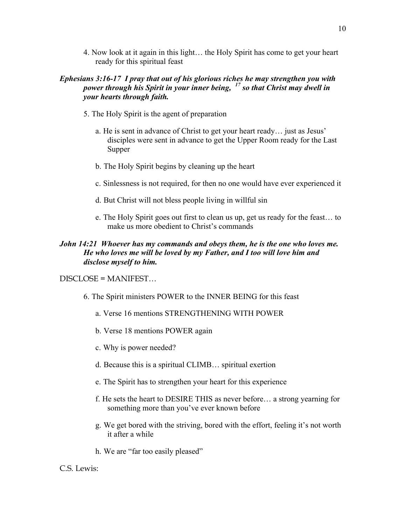4. Now look at it again in this light… the Holy Spirit has come to get your heart ready for this spiritual feast

## *Ephesians 3:16-17 I pray that out of his glorious riches he may strengthen you with power through his Spirit in your inner being, <sup>17</sup> so that Christ may dwell in your hearts through faith.*

- 5. The Holy Spirit is the agent of preparation
	- a. He is sent in advance of Christ to get your heart ready… just as Jesus' disciples were sent in advance to get the Upper Room ready for the Last Supper
	- b. The Holy Spirit begins by cleaning up the heart
	- c. Sinlessness is not required, for then no one would have ever experienced it
	- d. But Christ will not bless people living in willful sin
	- e. The Holy Spirit goes out first to clean us up, get us ready for the feast… to make us more obedient to Christ's commands

## *John 14:21 Whoever has my commands and obeys them, he is the one who loves me. He who loves me will be loved by my Father, and I too will love him and disclose myself to him.*

#### DISCLOSE = MANIFEST…

- 6. The Spirit ministers POWER to the INNER BEING for this feast
	- a. Verse 16 mentions STRENGTHENING WITH POWER
	- b. Verse 18 mentions POWER again
	- c. Why is power needed?
	- d. Because this is a spiritual CLIMB… spiritual exertion
	- e. The Spirit has to strengthen your heart for this experience
	- f. He sets the heart to DESIRE THIS as never before… a strong yearning for something more than you've ever known before
	- g. We get bored with the striving, bored with the effort, feeling it's not worth it after a while
	- h. We are "far too easily pleased"

#### C.S. Lewis: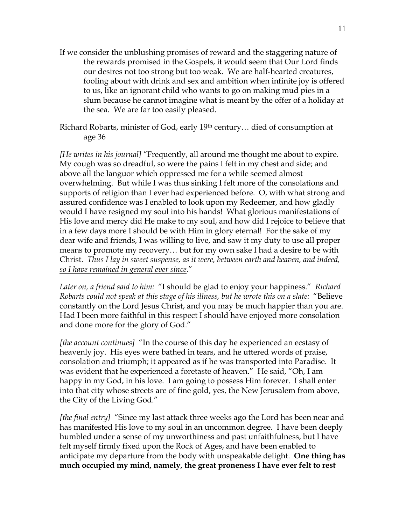- If we consider the unblushing promises of reward and the staggering nature of the rewards promised in the Gospels, it would seem that Our Lord finds our desires not too strong but too weak. We are half-hearted creatures, fooling about with drink and sex and ambition when infinite joy is offered to us, like an ignorant child who wants to go on making mud pies in a slum because he cannot imagine what is meant by the offer of a holiday at the sea. We are far too easily pleased.
- Richard Robarts, minister of God, early 19th century… died of consumption at age 36

*[He writes in his journal]* "Frequently, all around me thought me about to expire. My cough was so dreadful, so were the pains I felt in my chest and side; and above all the languor which oppressed me for a while seemed almost overwhelming. But while I was thus sinking I felt more of the consolations and supports of religion than I ever had experienced before. O, with what strong and assured confidence was I enabled to look upon my Redeemer, and how gladly would I have resigned my soul into his hands! What glorious manifestations of His love and mercy did He make to my soul, and how did I rejoice to believe that in a few days more I should be with Him in glory eternal! For the sake of my dear wife and friends, I was willing to live, and saw it my duty to use all proper means to promote my recovery… but for my own sake I had a desire to be with Christ. *Thus I lay in sweet suspense, as it were, between earth and heaven, and indeed, so I have remained in general ever since*."

*Later on, a friend said to him:* "I should be glad to enjoy your happiness." *Richard Robarts could not speak at this stage of his illness, but he wrote this on a slate:* "Believe constantly on the Lord Jesus Christ, and you may be much happier than you are. Had I been more faithful in this respect I should have enjoyed more consolation and done more for the glory of God."

*[the account continues]* "In the course of this day he experienced an ecstasy of heavenly joy. His eyes were bathed in tears, and he uttered words of praise, consolation and triumph; it appeared as if he was transported into Paradise. It was evident that he experienced a foretaste of heaven." He said, "Oh, I am happy in my God, in his love. I am going to possess Him forever. I shall enter into that city whose streets are of fine gold, yes, the New Jerusalem from above, the City of the Living God."

*[the final entry]* "Since my last attack three weeks ago the Lord has been near and has manifested His love to my soul in an uncommon degree. I have been deeply humbled under a sense of my unworthiness and past unfaithfulness, but I have felt myself firmly fixed upon the Rock of Ages, and have been enabled to anticipate my departure from the body with unspeakable delight. **One thing has much occupied my mind, namely, the great proneness I have ever felt to rest**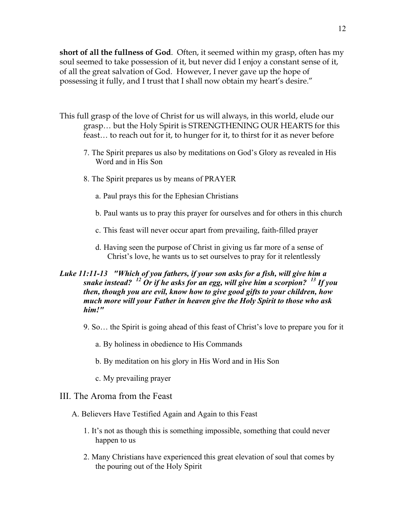**short of all the fullness of God**. Often, it seemed within my grasp, often has my soul seemed to take possession of it, but never did I enjoy a constant sense of it, of all the great salvation of God. However, I never gave up the hope of possessing it fully, and I trust that I shall now obtain my heart's desire."

- This full grasp of the love of Christ for us will always, in this world, elude our grasp… but the Holy Spirit is STRENGTHENING OUR HEARTS for this feast… to reach out for it, to hunger for it, to thirst for it as never before
	- 7. The Spirit prepares us also by meditations on God's Glory as revealed in His Word and in His Son
	- 8. The Spirit prepares us by means of PRAYER
		- a. Paul prays this for the Ephesian Christians
		- b. Paul wants us to pray this prayer for ourselves and for others in this church
		- c. This feast will never occur apart from prevailing, faith-filled prayer
		- d. Having seen the purpose of Christ in giving us far more of a sense of Christ's love, he wants us to set ourselves to pray for it relentlessly

## *Luke 11:11-13 "Which of you fathers, if your son asks for a fish, will give him a snake instead? <sup>12</sup> Or if he asks for an egg, will give him a scorpion? <sup>13</sup> If you then, though you are evil, know how to give good gifts to your children, how much more will your Father in heaven give the Holy Spirit to those who ask him!"*

- 9. So… the Spirit is going ahead of this feast of Christ's love to prepare you for it
	- a. By holiness in obedience to His Commands
	- b. By meditation on his glory in His Word and in His Son
	- c. My prevailing prayer
- III. The Aroma from the Feast
	- A. Believers Have Testified Again and Again to this Feast
		- 1. It's not as though this is something impossible, something that could never happen to us
		- 2. Many Christians have experienced this great elevation of soul that comes by the pouring out of the Holy Spirit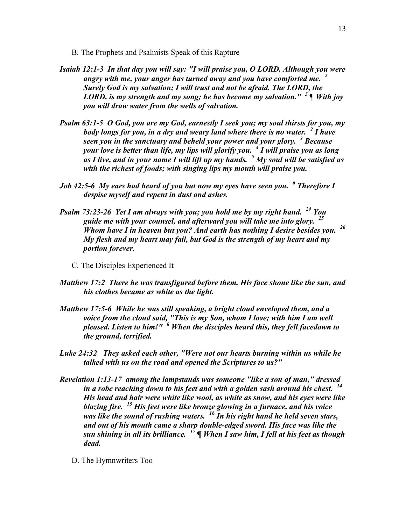- B. The Prophets and Psalmists Speak of this Rapture
- *Isaiah 12:1-3 In that day you will say: "I will praise you, O LORD. Although you were angry with me, your anger has turned away and you have comforted me. <sup>2</sup> Surely God is my salvation; I will trust and not be afraid. The LORD, the LORD, is my strength and my song; he has become my salvation." <sup>3</sup> ¶ With joy you will draw water from the wells of salvation.*
- *Psalm 63:1-5 O God, you are my God, earnestly I seek you; my soul thirsts for you, my body longs for you, in a dry and weary land where there is no water. <sup>2</sup> I have seen you in the sanctuary and beheld your power and your glory. <sup>3</sup> Because your love is better than life, my lips will glorify you. <sup>4</sup> I will praise you as long as I live, and in your name I will lift up my hands. <sup>5</sup> My soul will be satisfied as with the richest of foods; with singing lips my mouth will praise you.*
- *Job 42:5-6 My ears had heard of you but now my eyes have seen you. <sup>6</sup> Therefore I despise myself and repent in dust and ashes.*
- *Psalm 73:23-26 Yet I am always with you; you hold me by my right hand. <sup>24</sup> You guide me with your counsel, and afterward you will take me into glory. <sup>25</sup> Whom have I in heaven but you? And earth has nothing I desire besides you. <sup>26</sup> My flesh and my heart may fail, but God is the strength of my heart and my portion forever.*
	- C. The Disciples Experienced It
- *Matthew 17:2 There he was transfigured before them. His face shone like the sun, and his clothes became as white as the light.*
- *Matthew 17:5-6 While he was still speaking, a bright cloud enveloped them, and a voice from the cloud said, "This is my Son, whom I love; with him I am well pleased. Listen to him!" <sup>6</sup> When the disciples heard this, they fell facedown to the ground, terrified.*
- *Luke 24:32 They asked each other, "Were not our hearts burning within us while he talked with us on the road and opened the Scriptures to us?"*
- *Revelation 1:13-17 among the lampstands was someone "like a son of man," dressed in a robe reaching down to his feet and with a golden sash around his chest. <sup>14</sup> His head and hair were white like wool, as white as snow, and his eyes were like blazing fire. <sup>15</sup> His feet were like bronze glowing in a furnace, and his voice was like the sound of rushing waters. <sup>16</sup> In his right hand he held seven stars, and out of his mouth came a sharp double-edged sword. His face was like the sun shining in all its brilliance. <sup>17</sup> ¶ When I saw him, I fell at his feet as though dead.*
	- D. The Hymnwriters Too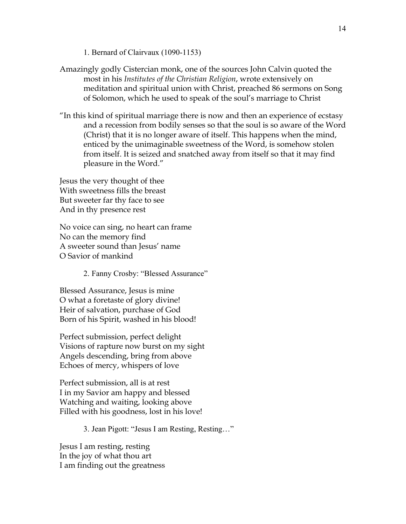1. Bernard of Clairvaux (1090-1153)

- Amazingly godly Cistercian monk, one of the sources John Calvin quoted the most in his *Institutes of the Christian Religion*, wrote extensively on meditation and spiritual union with Christ, preached 86 sermons on Song of Solomon, which he used to speak of the soul's marriage to Christ
- "In this kind of spiritual marriage there is now and then an experience of ecstasy and a recession from bodily senses so that the soul is so aware of the Word (Christ) that it is no longer aware of itself. This happens when the mind, enticed by the unimaginable sweetness of the Word, is somehow stolen from itself. It is seized and snatched away from itself so that it may find pleasure in the Word."

Jesus the very thought of thee With sweetness fills the breast But sweeter far thy face to see And in thy presence rest

No voice can sing, no heart can frame No can the memory find A sweeter sound than Jesus' name O Savior of mankind

2. Fanny Crosby: "Blessed Assurance"

Blessed Assurance, Jesus is mine O what a foretaste of glory divine! Heir of salvation, purchase of God Born of his Spirit, washed in his blood!

Perfect submission, perfect delight Visions of rapture now burst on my sight Angels descending, bring from above Echoes of mercy, whispers of love

Perfect submission, all is at rest I in my Savior am happy and blessed Watching and waiting, looking above Filled with his goodness, lost in his love!

3. Jean Pigott: "Jesus I am Resting, Resting…"

Jesus I am resting, resting In the joy of what thou art I am finding out the greatness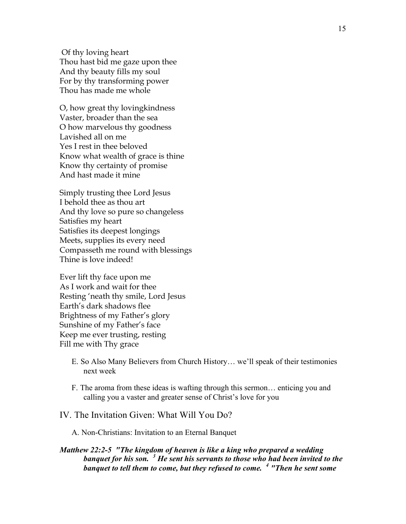Of thy loving heart Thou hast bid me gaze upon thee And thy beauty fills my soul For by thy transforming power Thou has made me whole

O, how great thy lovingkindness Vaster, broader than the sea O how marvelous thy goodness Lavished all on me Yes I rest in thee beloved Know what wealth of grace is thine Know thy certainty of promise And hast made it mine

Simply trusting thee Lord Jesus I behold thee as thou art And thy love so pure so changeless Satisfies my heart Satisfies its deepest longings Meets, supplies its every need Compasseth me round with blessings Thine is love indeed!

Ever lift thy face upon me As I work and wait for thee Resting 'neath thy smile, Lord Jesus Earth's dark shadows flee Brightness of my Father's glory Sunshine of my Father's face Keep me ever trusting, resting Fill me with Thy grace

- E. So Also Many Believers from Church History… we'll speak of their testimonies next week
- F. The aroma from these ideas is wafting through this sermon… enticing you and calling you a vaster and greater sense of Christ's love for you

#### IV. The Invitation Given: What Will You Do?

A. Non-Christians: Invitation to an Eternal Banquet

#### *Matthew 22:2-5 "The kingdom of heaven is like a king who prepared a wedding banquet for his son. <sup>3</sup> He sent his servants to those who had been invited to the banquet to tell them to come, but they refused to come. <sup>4</sup> "Then he sent some*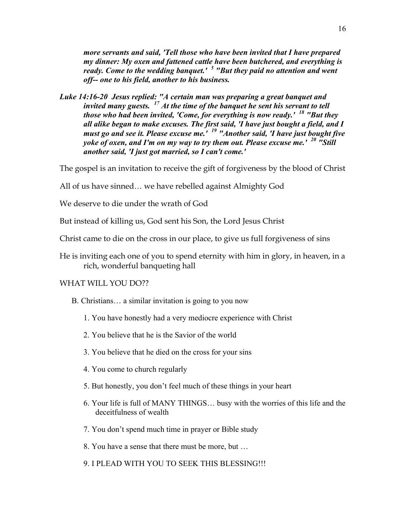*more servants and said, 'Tell those who have been invited that I have prepared my dinner: My oxen and fattened cattle have been butchered, and everything is ready. Come to the wedding banquet.' <sup>5</sup> "But they paid no attention and went off-- one to his field, another to his business.*

*Luke 14:16-20 Jesus replied: "A certain man was preparing a great banquet and invited many guests. <sup>17</sup> At the time of the banquet he sent his servant to tell those who had been invited, 'Come, for everything is now ready.' <sup>18</sup> "But they all alike began to make excuses. The first said, 'I have just bought a field, and I must go and see it. Please excuse me.' <sup>19</sup> "Another said, 'I have just bought five yoke of oxen, and I'm on my way to try them out. Please excuse me.' <sup>20</sup> "Still another said, 'I just got married, so I can't come.'*

The gospel is an invitation to receive the gift of forgiveness by the blood of Christ

All of us have sinned… we have rebelled against Almighty God

We deserve to die under the wrath of God

But instead of killing us, God sent his Son, the Lord Jesus Christ

Christ came to die on the cross in our place, to give us full forgiveness of sins

He is inviting each one of you to spend eternity with him in glory, in heaven, in a rich, wonderful banqueting hall

#### WHAT WILL YOU DO??

- B. Christians… a similar invitation is going to you now
	- 1. You have honestly had a very mediocre experience with Christ
	- 2. You believe that he is the Savior of the world
	- 3. You believe that he died on the cross for your sins
	- 4. You come to church regularly
	- 5. But honestly, you don't feel much of these things in your heart
	- 6. Your life is full of MANY THINGS… busy with the worries of this life and the deceitfulness of wealth
	- 7. You don't spend much time in prayer or Bible study
	- 8. You have a sense that there must be more, but …
	- 9. I PLEAD WITH YOU TO SEEK THIS BLESSING!!!